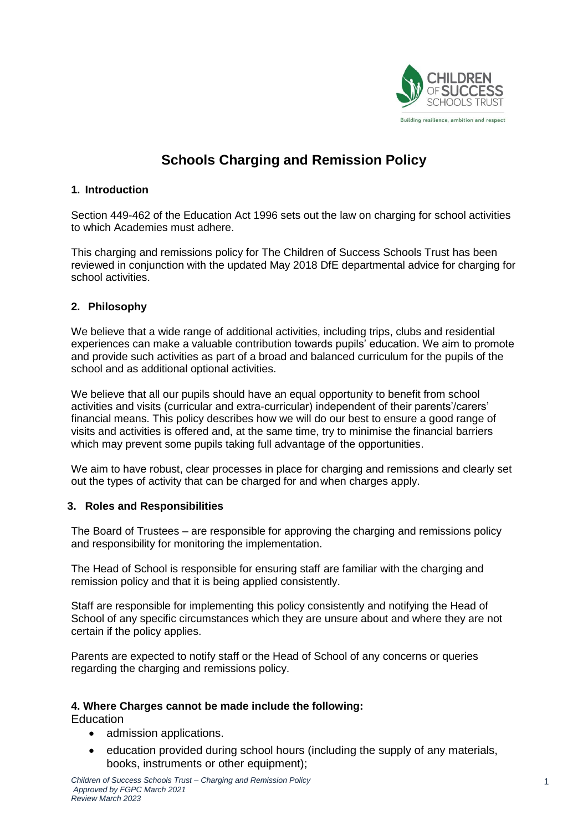

# **Schools Charging and Remission Policy**

#### **1. Introduction**

Section 449-462 of the Education Act 1996 sets out the law on charging for school activities to which Academies must adhere.

This charging and remissions policy for The Children of Success Schools Trust has been reviewed in conjunction with the updated May 2018 DfE departmental advice for charging for school activities.

### **2. Philosophy**

We believe that a wide range of additional activities, including trips, clubs and residential experiences can make a valuable contribution towards pupils' education. We aim to promote and provide such activities as part of a broad and balanced curriculum for the pupils of the school and as additional optional activities.

We believe that all our pupils should have an equal opportunity to benefit from school activities and visits (curricular and extra-curricular) independent of their parents'/carers' financial means. This policy describes how we will do our best to ensure a good range of visits and activities is offered and, at the same time, try to minimise the financial barriers which may prevent some pupils taking full advantage of the opportunities.

We aim to have robust, clear processes in place for charging and remissions and clearly set out the types of activity that can be charged for and when charges apply.

#### **3. Roles and Responsibilities**

The Board of Trustees – are responsible for approving the charging and remissions policy and responsibility for monitoring the implementation.

The Head of School is responsible for ensuring staff are familiar with the charging and remission policy and that it is being applied consistently.

Staff are responsible for implementing this policy consistently and notifying the Head of School of any specific circumstances which they are unsure about and where they are not certain if the policy applies.

Parents are expected to notify staff or the Head of School of any concerns or queries regarding the charging and remissions policy.

#### **4. Where Charges cannot be made include the following:**

**Education** 

- admission applications.
- education provided during school hours (including the supply of any materials, books, instruments or other equipment);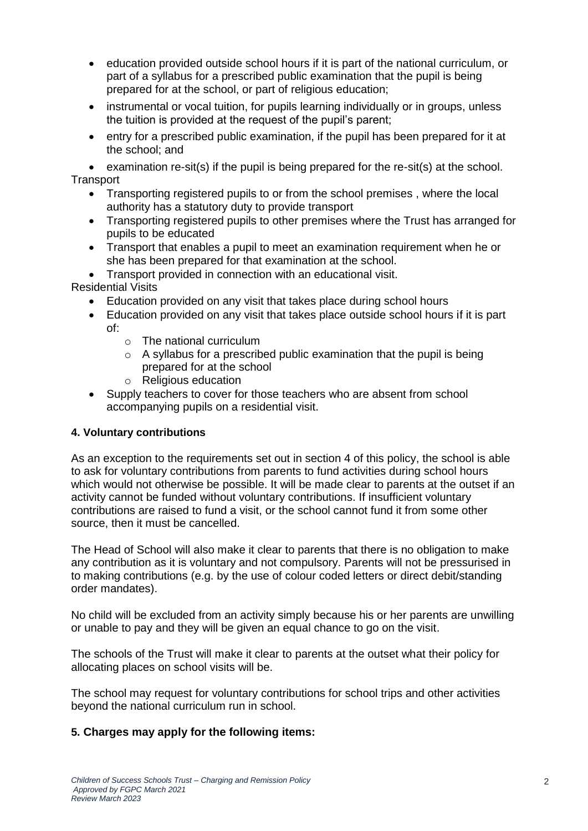- education provided outside school hours if it is part of the national curriculum, or part of a syllabus for a prescribed public examination that the pupil is being prepared for at the school, or part of religious education;
- instrumental or vocal tuition, for pupils learning individually or in groups, unless the tuition is provided at the request of the pupil's parent;
- entry for a prescribed public examination, if the pupil has been prepared for it at the school; and

 examination re-sit(s) if the pupil is being prepared for the re-sit(s) at the school. **Transport** 

- Transporting registered pupils to or from the school premises , where the local authority has a statutory duty to provide transport
- Transporting registered pupils to other premises where the Trust has arranged for pupils to be educated
- Transport that enables a pupil to meet an examination requirement when he or she has been prepared for that examination at the school.
- Transport provided in connection with an educational visit.

Residential Visits

- Education provided on any visit that takes place during school hours
- Education provided on any visit that takes place outside school hours if it is part of:
	- $\circ$  The national curriculum
	- $\circ$  A syllabus for a prescribed public examination that the pupil is being prepared for at the school
	- o Religious education
- Supply teachers to cover for those teachers who are absent from school accompanying pupils on a residential visit.

#### **4. Voluntary contributions**

As an exception to the requirements set out in section 4 of this policy, the school is able to ask for voluntary contributions from parents to fund activities during school hours which would not otherwise be possible. It will be made clear to parents at the outset if an activity cannot be funded without voluntary contributions. If insufficient voluntary contributions are raised to fund a visit, or the school cannot fund it from some other source, then it must be cancelled.

The Head of School will also make it clear to parents that there is no obligation to make any contribution as it is voluntary and not compulsory. Parents will not be pressurised in to making contributions (e.g. by the use of colour coded letters or direct debit/standing order mandates).

No child will be excluded from an activity simply because his or her parents are unwilling or unable to pay and they will be given an equal chance to go on the visit.

The schools of the Trust will make it clear to parents at the outset what their policy for allocating places on school visits will be.

The school may request for voluntary contributions for school trips and other activities beyond the national curriculum run in school.

# **5. Charges may apply for the following items:**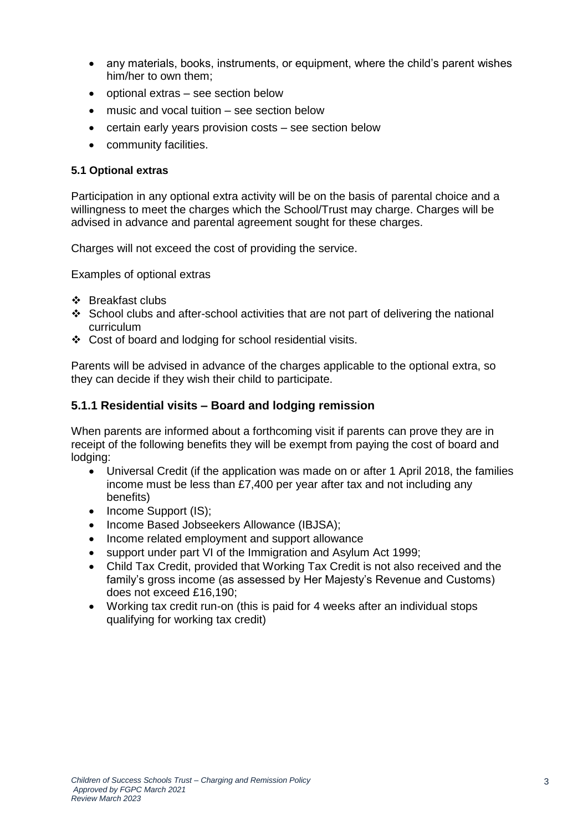- any materials, books, instruments, or equipment, where the child's parent wishes him/her to own them;
- optional extras see section below
- music and vocal tuition see section below
- certain early years provision costs see section below
- community facilities.

#### **5.1 Optional extras**

Participation in any optional extra activity will be on the basis of parental choice and a willingness to meet the charges which the School/Trust may charge. Charges will be advised in advance and parental agreement sought for these charges.

Charges will not exceed the cost of providing the service.

Examples of optional extras

- Breakfast clubs
- $\div$  School clubs and after-school activities that are not part of delivering the national curriculum
- Cost of board and lodging for school residential visits.

Parents will be advised in advance of the charges applicable to the optional extra, so they can decide if they wish their child to participate.

# **5.1.1 Residential visits – Board and lodging remission**

When parents are informed about a forthcoming visit if parents can prove they are in receipt of the following benefits they will be exempt from paying the cost of board and lodging:

- Universal Credit (if the application was made on or after 1 April 2018, the families income must be less than £7,400 per year after tax and not including any benefits)
- Income Support (IS);
- Income Based Jobseekers Allowance (IBJSA);
- Income related employment and support allowance
- support under part VI of the Immigration and Asylum Act 1999;
- Child Tax Credit, provided that Working Tax Credit is not also received and the family's gross income (as assessed by Her Majesty's Revenue and Customs) does not exceed £16,190;
- Working tax credit run-on (this is paid for 4 weeks after an individual stops qualifying for working tax credit)